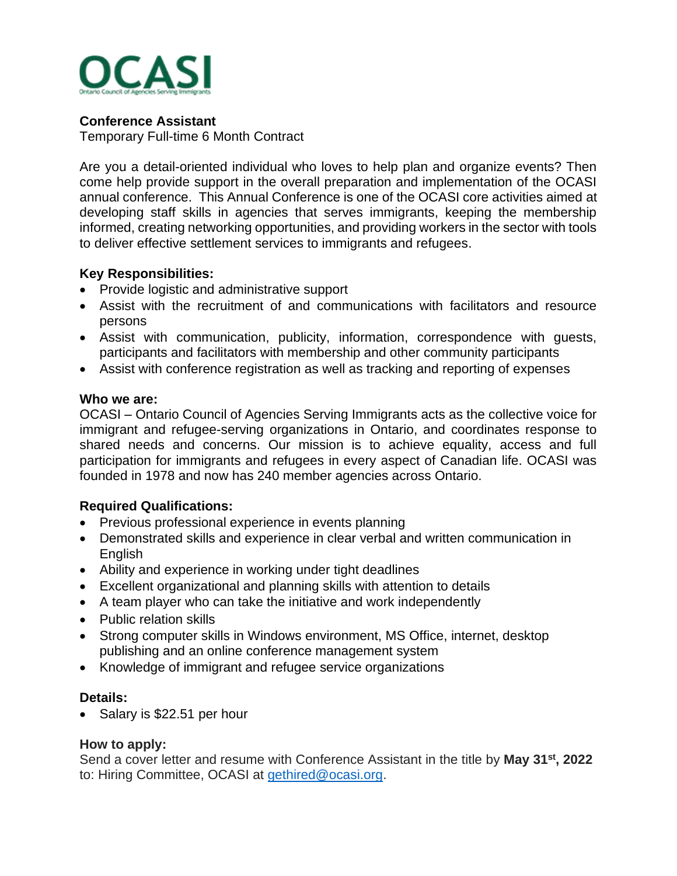

## **Conference Assistant**

Temporary Full-time 6 Month Contract

Are you a detail-oriented individual who loves to help plan and organize events? Then come help provide support in the overall preparation and implementation of the OCASI annual conference. This Annual Conference is one of the OCASI core activities aimed at developing staff skills in agencies that serves immigrants, keeping the membership informed, creating networking opportunities, and providing workers in the sector with tools to deliver effective settlement services to immigrants and refugees.

## **Key Responsibilities:**

- Provide logistic and administrative support
- Assist with the recruitment of and communications with facilitators and resource persons
- Assist with communication, publicity, information, correspondence with guests, participants and facilitators with membership and other community participants
- Assist with conference registration as well as tracking and reporting of expenses

## **Who we are:**

OCASI – Ontario Council of Agencies Serving Immigrants acts as the collective voice for immigrant and refugee-serving organizations in Ontario, and coordinates response to shared needs and concerns. Our mission is to achieve equality, access and full participation for immigrants and refugees in every aspect of Canadian life. OCASI was founded in 1978 and now has 240 member agencies across Ontario.

# **Required Qualifications:**

- Previous professional experience in events planning
- Demonstrated skills and experience in clear verbal and written communication in English
- Ability and experience in working under tight deadlines
- Excellent organizational and planning skills with attention to details
- A team player who can take the initiative and work independently
- Public relation skills
- Strong computer skills in Windows environment, MS Office, internet, desktop publishing and an online conference management system
- Knowledge of immigrant and refugee service organizations

## **Details:**

• Salary is \$22.51 per hour

## **How to apply:**

Send a cover letter and resume with Conference Assistant in the title by May 31<sup>st</sup>, 2022 to: Hiring Committee, OCASI at [gethired@ocasi.org.](mailto:gethired@ocasi.org)